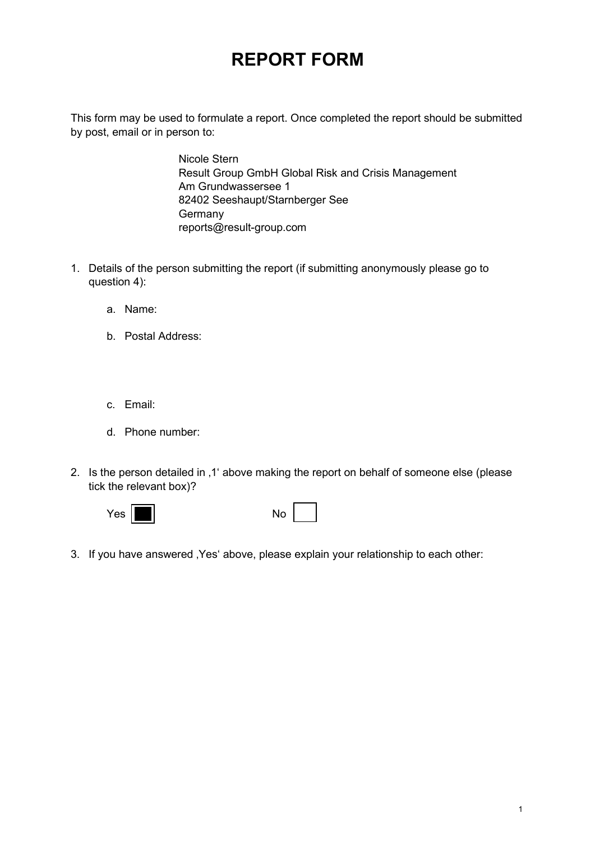## **REPORT FORM**

This form may be used to formulate a report. Once completed the report should be submitted by post, email or in person to:

> Nicole Stern Result Group GmbH Global Risk and Crisis Management Am Grundwassersee 1 82402 Seeshaupt/Starnberger See Germany reports@result-group.com

- 1. Details of the person submitting the report (if submitting anonymously please go to question 4):
	- a. Name:
	- b. Postal Address:
	- c. Email:
	- d. Phone number:
- 2. Is the person detailed in ,1' above making the report on behalf of someone else (please tick the relevant box)?



|--|

3. If you have answered , Yes' above, please explain your relationship to each other: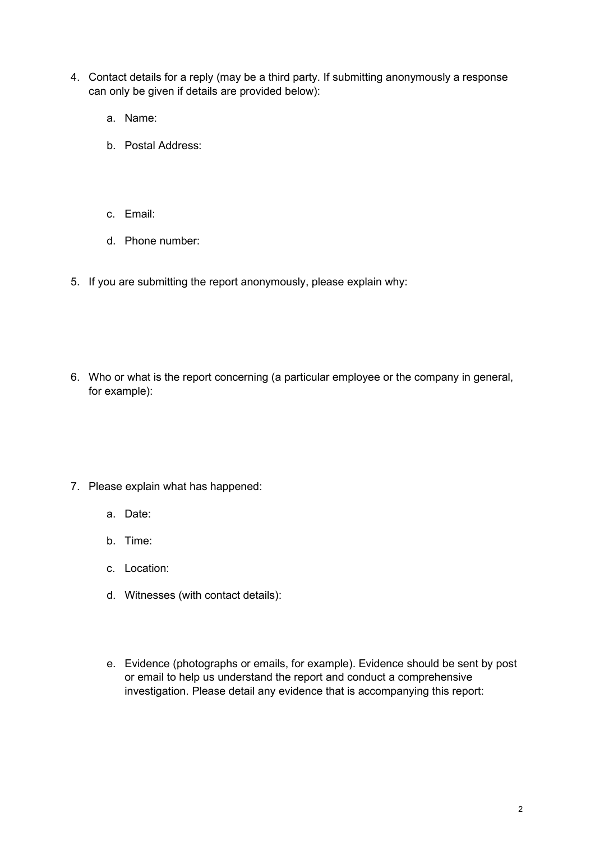- 4. Contact details for a reply (may be a third party. If submitting anonymously a response can only be given if details are provided below):
	- a. Name:
	- b. Postal Address:
	- c. Email:
	- d. Phone number:
- 5. If you are submitting the report anonymously, please explain why:
- 6. Who or what is the report concerning (a particular employee or the company in general, for example):
- 7. Please explain what has happened:
	- a. Date:
	- b. Time:
	- c. Location:
	- d. Witnesses (with contact details):
	- e. Evidence (photographs or emails, for example). Evidence should be sent by post or email to help us understand the report and conduct a comprehensive investigation. Please detail any evidence that is accompanying this report: